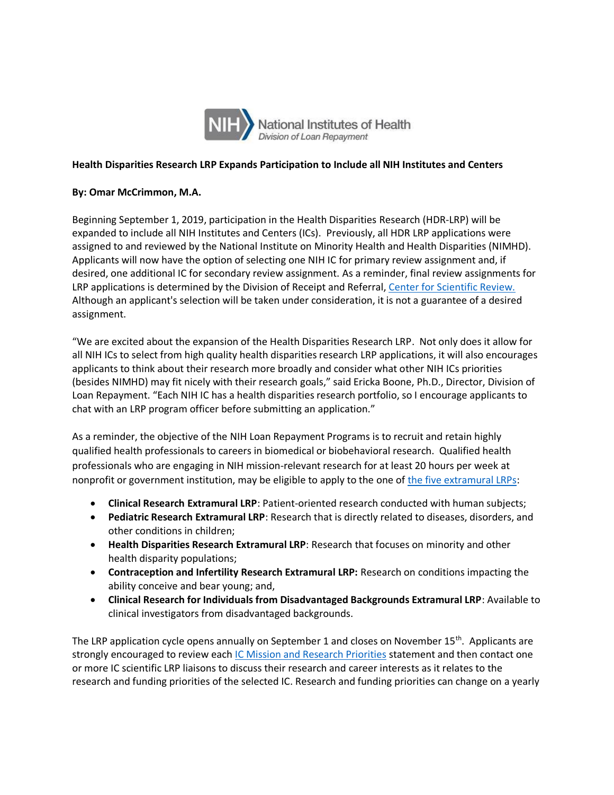

## **Health Disparities Research LRP Expands Participation to Include all NIH Institutes and Centers**

## **By: Omar McCrimmon, M.A.**

 Beginning September 1, 2019, participation in the Health Disparities Research (HDR-LRP) will be expanded to include all NIH Institutes and Centers (ICs). Previously, all HDR LRP applications were assigned to and reviewed by the National Institute on Minority Health and Health Disparities (NIMHD). Applicants will now have the option of selecting one NIH IC for primary review assignment and, if desired, one additional IC for secondary review assignment. As a reminder, final review assignments for LRP applications is determined by the Division of Receipt and Referral, Center for Scientific Review. Although an applicant's selection will be taken under consideration, it is not a guarantee of a desired assignment.

 "We are excited about the expansion of the Health Disparities Research LRP. Not only does it allow for all NIH ICs to select from high quality health disparities research LRP applications, it will also encourages applicants to think about their research more broadly and consider what other NIH ICs priorities (besides NIMHD) may fit nicely with their research goals," said Ericka Boone, Ph.D., Director, Division of Loan Repayment. "Each NIH IC has a health disparities research portfolio, so I encourage applicants to chat with an LRP program officer before submitting an application."

 As a reminder, the objective of the NIH Loan Repayment Programs is to recruit and retain highly qualified health professionals to careers in biomedical or biobehavioral research. Qualified health professionals who are engaging in NIH mission-relevant research for at least 20 hours per week at nonprofit or government institution, may be eligible to apply to the one o[f the five extramural LRPs:](https://www.lrp.nih.gov/eligibility-programs#programs)

- **Clinical Research Extramural LRP**: Patient-oriented research conducted with human subjects;
- **Pediatric Research Extramural LRP**: Research that is directly related to diseases, disorders, and other conditions in children;
- **Health Disparities Research Extramural LRP**: Research that focuses on minority and other health disparity populations;
- **Contraception and Infertility Research Extramural LRP:** Research on conditions impacting the ability conceive and bear young; and,
- **Clinical Research for Individuals from Disadvantaged Backgrounds Extramural LRP**: Available to clinical investigators from disadvantaged backgrounds.

The LRP application cycle opens annually on September 1 and closes on November 15<sup>th</sup>. Applicants are strongly encouraged to review each <u>IC Mission and Research Priorities</u> statement and then contact one or more IC scientific LRP liaisons to discuss their research and career interests as it relates to the research and funding priorities of the selected IC. Research and funding priorities can change on a yearly